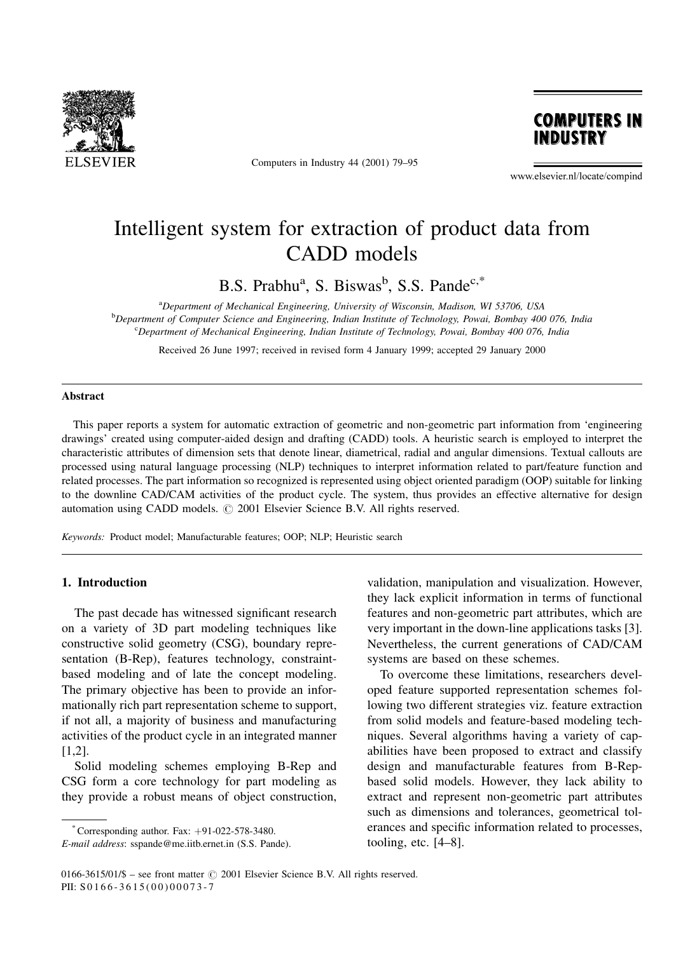

Computers in Industry 44 (2001) 79-95



www.elsevier.nl/locate/compind

## Intelligent system for extraction of product data from CADD models

B.S. Prabhu<sup>a</sup>, S. Biswas<sup>b</sup>, S.S. Pande<sup>c,\*</sup>

<sup>a</sup>Department of Mechanical Engineering, University of Wisconsin, Madison, WI 53706, USA b Department of Computer Science and Engineering, Indian Institute of Technology, Powai, Bombay 400 076, India <sup>c</sup>Department of Mechanical Engineering, Indian Institute of Technology, Powai, Bombay 400 076, India

Received 26 June 1997; received in revised form 4 January 1999; accepted 29 January 2000

#### Abstract

This paper reports a system for automatic extraction of geometric and non-geometric part information from `engineering drawings' created using computer-aided design and drafting (CADD) tools. A heuristic search is employed to interpret the characteristic attributes of dimension sets that denote linear, diametrical, radial and angular dimensions. Textual callouts are processed using natural language processing (NLP) techniques to interpret information related to part/feature function and related processes. The part information so recognized is represented using object oriented paradigm (OOP) suitable for linking to the downline CAD/CAM activities of the product cycle. The system, thus provides an effective alternative for design automation using CADD models.  $\odot$  2001 Elsevier Science B.V. All rights reserved.

Keywords: Product model; Manufacturable features; OOP; NLP; Heuristic search

## 1. Introduction

The past decade has witnessed significant research on a variety of 3D part modeling techniques like constructive solid geometry (CSG), boundary representation (B-Rep), features technology, constraintbased modeling and of late the concept modeling. The primary objective has been to provide an informationally rich part representation scheme to support, if not all, a majority of business and manufacturing activities of the product cycle in an integrated manner [1,2].

Solid modeling schemes employing B-Rep and CSG form a core technology for part modeling as they provide a robust means of object construction, validation, manipulation and visualization. However, they lack explicit information in terms of functional features and non-geometric part attributes, which are very important in the down-line applications tasks [3]. Nevertheless, the current generations of CAD/CAM systems are based on these schemes.

To overcome these limitations, researchers developed feature supported representation schemes following two different strategies viz. feature extraction from solid models and feature-based modeling techniques. Several algorithms having a variety of capabilities have been proposed to extract and classify design and manufacturable features from B-Repbased solid models. However, they lack ability to extract and represent non-geometric part attributes such as dimensions and tolerances, geometrical tolerances and specific information related to processes, tooling, etc.  $[4-8]$ .

 $^*$ Corresponding author. Fax:  $+91-022-578-3480$ .

E-mail address: sspande@me.iitb.ernet.in (S.S. Pande).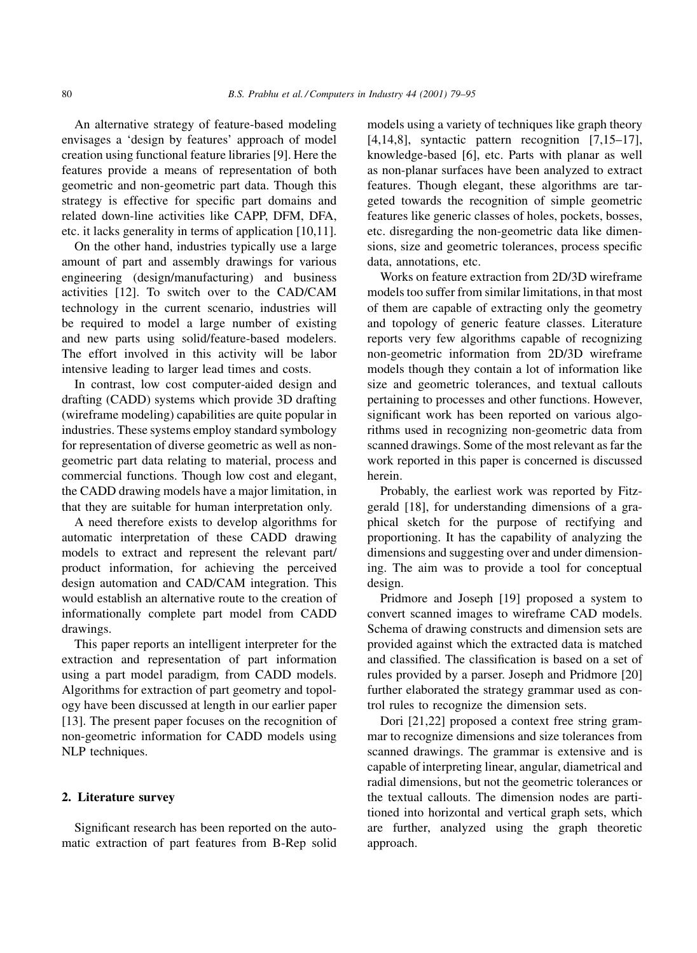An alternative strategy of feature-based modeling envisages a `design by features' approach of model creation using functional feature libraries [9]. Here the features provide a means of representation of both geometric and non-geometric part data. Though this strategy is effective for specific part domains and related down-line activities like CAPP, DFM, DFA, etc. it lacks generality in terms of application [10,11].

On the other hand, industries typically use a large amount of part and assembly drawings for various engineering (design/manufacturing) and business activities [12]. To switch over to the CAD/CAM technology in the current scenario, industries will be required to model a large number of existing and new parts using solid/feature-based modelers. The effort involved in this activity will be labor intensive leading to larger lead times and costs.

In contrast, low cost computer-aided design and drafting (CADD) systems which provide 3D drafting (wireframe modeling) capabilities are quite popular in industries. These systems employ standard symbology for representation of diverse geometric as well as nongeometric part data relating to material, process and commercial functions. Though low cost and elegant, the CADD drawing models have a major limitation, in that they are suitable for human interpretation only.

A need therefore exists to develop algorithms for automatic interpretation of these CADD drawing models to extract and represent the relevant part/ product information, for achieving the perceived design automation and CAD/CAM integration. This would establish an alternative route to the creation of informationally complete part model from CADD drawings.

This paper reports an intelligent interpreter for the extraction and representation of part information using a part model paradigm, from CADD models. Algorithms for extraction of part geometry and topology have been discussed at length in our earlier paper [13]. The present paper focuses on the recognition of non-geometric information for CADD models using NLP techniques.

### 2. Literature survey

Significant research has been reported on the automatic extraction of part features from B-Rep solid models using a variety of techniques like graph theory [4,14,8], syntactic pattern recognition  $[7,15-17]$ , knowledge-based [6], etc. Parts with planar as well as non-planar surfaces have been analyzed to extract features. Though elegant, these algorithms are targeted towards the recognition of simple geometric features like generic classes of holes, pockets, bosses, etc. disregarding the non-geometric data like dimensions, size and geometric tolerances, process specific data, annotations, etc.

Works on feature extraction from 2D/3D wireframe models too suffer from similar limitations, in that most of them are capable of extracting only the geometry and topology of generic feature classes. Literature reports very few algorithms capable of recognizing non-geometric information from 2D/3D wireframe models though they contain a lot of information like size and geometric tolerances, and textual callouts pertaining to processes and other functions. However, significant work has been reported on various algorithms used in recognizing non-geometric data from scanned drawings. Some of the most relevant as far the work reported in this paper is concerned is discussed herein.

Probably, the earliest work was reported by Fitzgerald [18], for understanding dimensions of a graphical sketch for the purpose of rectifying and proportioning. It has the capability of analyzing the dimensions and suggesting over and under dimensioning. The aim was to provide a tool for conceptual design.

Pridmore and Joseph [19] proposed a system to convert scanned images to wireframe CAD models. Schema of drawing constructs and dimension sets are provided against which the extracted data is matched and classified. The classification is based on a set of rules provided by a parser. Joseph and Pridmore [20] further elaborated the strategy grammar used as control rules to recognize the dimension sets.

Dori [21,22] proposed a context free string grammar to recognize dimensions and size tolerances from scanned drawings. The grammar is extensive and is capable of interpreting linear, angular, diametrical and radial dimensions, but not the geometric tolerances or the textual callouts. The dimension nodes are partitioned into horizontal and vertical graph sets, which are further, analyzed using the graph theoretic approach.